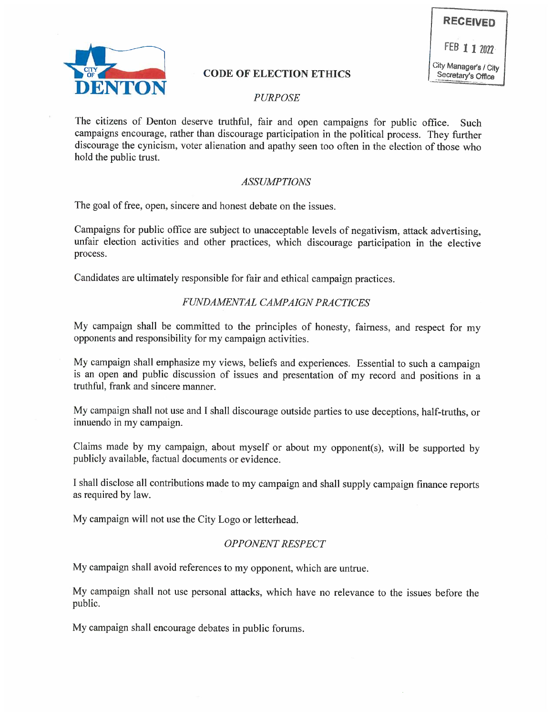



# CODE OF ELECTION ETHICS Secretary's Office

## PURPOSE

The citizens of Denton deserve truthful, fair and open campaigns for public office. Such campaigns encourage, rather than discourage participation in the political process. They further discourage the cynicism, voter alienation and apathy seen too often in the election of those who hold the public trust.

### ASSUMPTIONS

The goal of free, open, sincere and honest debate on the issues.

Campaigns for public office are subject to unacceptable levels of negativism, attack advertising, unfair election activities and other practices, which discourage participation in the elective process.

Candidates are ultimately responsible for fair and ethical campaign practices.

### FUNDAMENTAL CAMPAIGN PRACTICES

My campaign shall be committed to the principles of honesty, fairness, and respect for my opponents and responsibility for my campaign activities.

My campaign shall emphasize my views, beliefs and experiences. Essential to such a campaign is an open and public discussion of issues and presentation of my record and positions in a truthful, frank and sincere manner.

My campaign shall not use and I shall discourage outside parties to use deceptions, half-truths, or innuendo in my campaign.

Claims made by my campaign, about myself or about my opponent(s), will be supported by publicly available, factual documents or evidence.

I shall disclose all contributions made to my campaign and shall supply campaign finance reports as required by law.

My campaign will not use the City Logo or letterhead.

#### OPPONENT RESPECT

My campaign shall avoid references to my opponent, which are untrue.

My campaign shall not use personal attacks, which have no relevance to the issues before the public.

My campaign shall encourage debates in public forums.